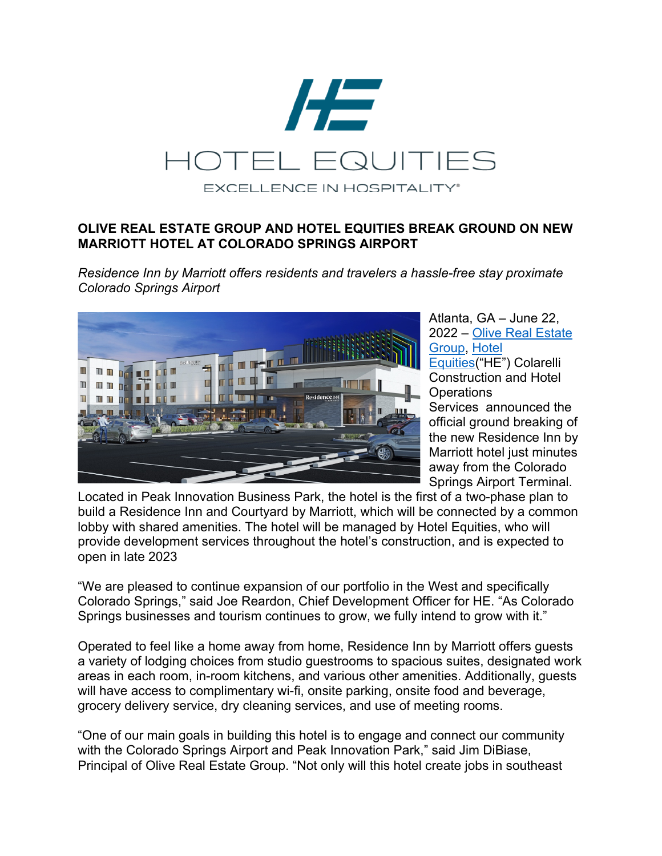

## **OLIVE REAL ESTATE GROUP AND HOTEL EQUITIES BREAK GROUND ON NEW MARRIOTT HOTEL AT COLORADO SPRINGS AIRPORT**

*Residence Inn by Marriott offers residents and travelers a hassle-free stay proximate Colorado Springs Airport*



Atlanta, GA – June 22, 2022 – Olive Real Estate Group, Hotel Equities("HE") Colarelli Construction and Hotel **Operations** Services announced the official ground breaking of the new Residence Inn by Marriott hotel just minutes away from the Colorado Springs Airport Terminal.

Located in Peak Innovation Business Park, the hotel is the first of a two-phase plan to build a Residence Inn and Courtyard by Marriott, which will be connected by a common lobby with shared amenities. The hotel will be managed by Hotel Equities, who will provide development services throughout the hotel's construction, and is expected to open in late 2023

"We are pleased to continue expansion of our portfolio in the West and specifically Colorado Springs," said Joe Reardon, Chief Development Officer for HE. "As Colorado Springs businesses and tourism continues to grow, we fully intend to grow with it."

Operated to feel like a home away from home, Residence Inn by Marriott offers guests a variety of lodging choices from studio guestrooms to spacious suites, designated work areas in each room, in-room kitchens, and various other amenities. Additionally, guests will have access to complimentary wi-fi, onsite parking, onsite food and beverage, grocery delivery service, dry cleaning services, and use of meeting rooms.

"One of our main goals in building this hotel is to engage and connect our community with the Colorado Springs Airport and Peak Innovation Park," said Jim DiBiase, Principal of Olive Real Estate Group. "Not only will this hotel create jobs in southeast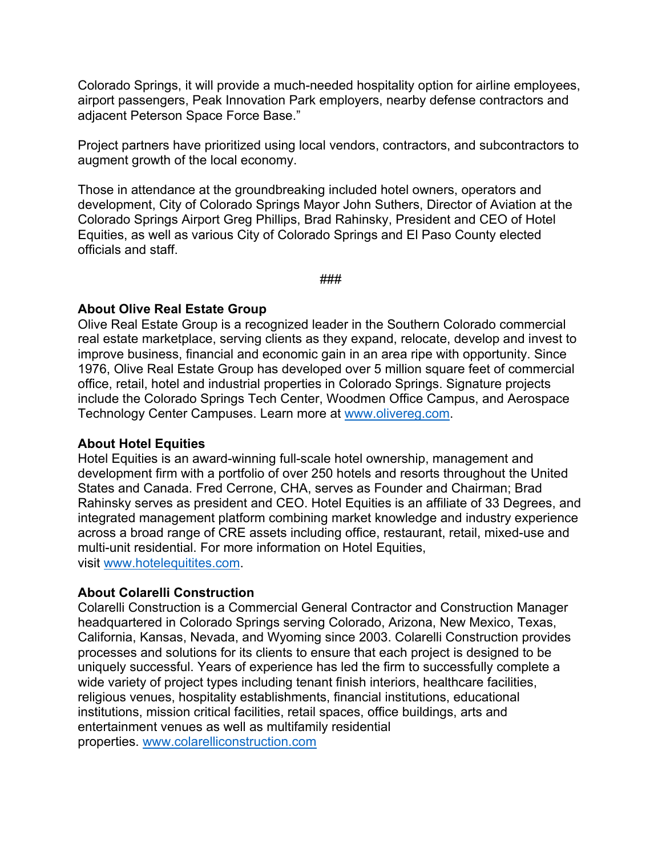Colorado Springs, it will provide a much-needed hospitality option for airline employees, airport passengers, Peak Innovation Park employers, nearby defense contractors and adjacent Peterson Space Force Base."

Project partners have prioritized using local vendors, contractors, and subcontractors to augment growth of the local economy.

Those in attendance at the groundbreaking included hotel owners, operators and development, City of Colorado Springs Mayor John Suthers, Director of Aviation at the Colorado Springs Airport Greg Phillips, Brad Rahinsky, President and CEO of Hotel Equities, as well as various City of Colorado Springs and El Paso County elected officials and staff.

###

### **About Olive Real Estate Group**

Olive Real Estate Group is a recognized leader in the Southern Colorado commercial real estate marketplace, serving clients as they expand, relocate, develop and invest to improve business, financial and economic gain in an area ripe with opportunity. Since 1976, Olive Real Estate Group has developed over 5 million square feet of commercial office, retail, hotel and industrial properties in Colorado Springs. Signature projects include the Colorado Springs Tech Center, Woodmen Office Campus, and Aerospace Technology Center Campuses. Learn more at www.olivereg.com.

#### **About Hotel Equities**

Hotel Equities is an award-winning full-scale hotel ownership, management and development firm with a portfolio of over 250 hotels and resorts throughout the United States and Canada. Fred Cerrone, CHA, serves as Founder and Chairman; Brad Rahinsky serves as president and CEO. Hotel Equities is an affiliate of 33 Degrees, and integrated management platform combining market knowledge and industry experience across a broad range of CRE assets including office, restaurant, retail, mixed-use and multi-unit residential. For more information on Hotel Equities, visit www.hotelequitites.com.

## **About Colarelli Construction**

Colarelli Construction is a Commercial General Contractor and Construction Manager headquartered in Colorado Springs serving Colorado, Arizona, New Mexico, Texas, California, Kansas, Nevada, and Wyoming since 2003. Colarelli Construction provides processes and solutions for its clients to ensure that each project is designed to be uniquely successful. Years of experience has led the firm to successfully complete a wide variety of project types including tenant finish interiors, healthcare facilities, religious venues, hospitality establishments, financial institutions, educational institutions, mission critical facilities, retail spaces, office buildings, arts and entertainment venues as well as multifamily residential properties. www.colarelliconstruction.com